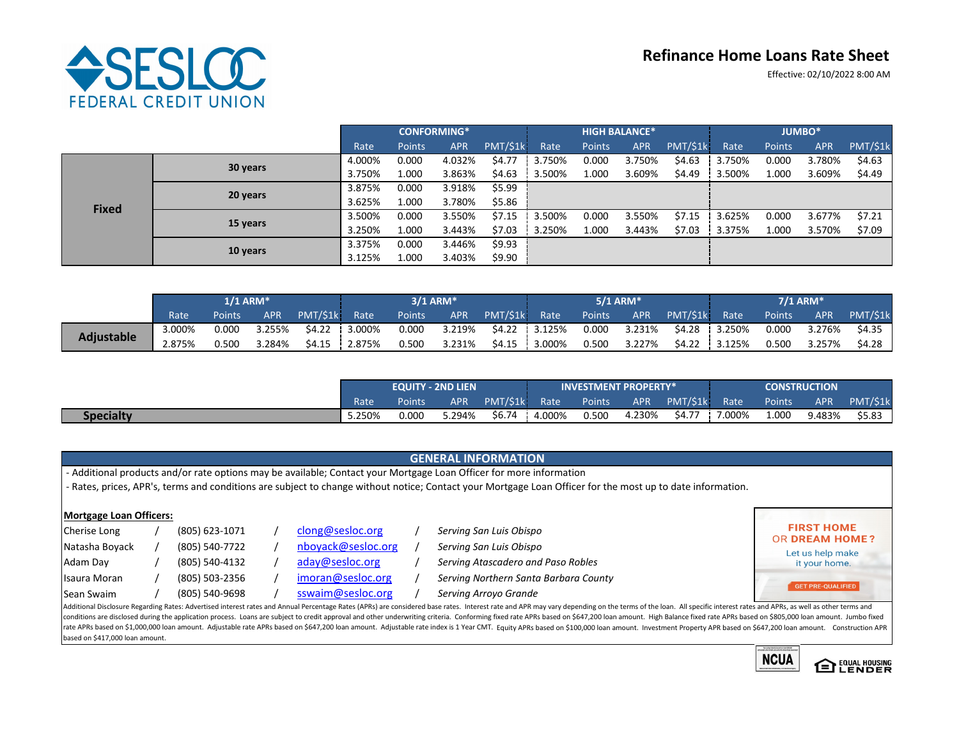# **ASESLOC FEDERAL CREDIT UNION**

## **Refinance Home Loans Rate Sheet**

Effective: 02/10/2022 8:00 AM

|              |          | <b>CONFORMING*</b> |               |            |          | <b>HIGH BALANCE*</b> |               |            |          | <b>JUMBO*</b> |               |            |          |
|--------------|----------|--------------------|---------------|------------|----------|----------------------|---------------|------------|----------|---------------|---------------|------------|----------|
|              |          | Rate               | <b>Points</b> | <b>APR</b> | PMT/\$1k | Rate                 | <b>Points</b> | <b>APR</b> | PMT/\$1k | Rate          | <b>Points</b> | <b>APR</b> | PMT/\$1k |
|              | 30 years | 4.000%             | 0.000         | 4.032%     | \$4.77   | 3.750%               | 0.000         | 3.750%     | \$4.63   | 3.750%        | 0.000         | 3.780%     | \$4.63   |
|              |          | 3.750%             | 1.000         | 3.863%     | \$4.63   | 3.500%               | 1.000         | 3.609%     | \$4.49   | 3.500%        | 1.000         | 3.609%     | \$4.49   |
|              | 20 years | 3.875%             | 0.000         | 3.918%     | \$5.99   |                      |               |            |          |               |               |            |          |
| <b>Fixed</b> |          | 3.625%             | 1.000         | 3.780%     | \$5.86   |                      |               |            |          |               |               |            |          |
|              | 15 years | 3.500%             | 0.000         | 3.550%     | \$7.15   | 3.500%               | 0.000         | 3.550%     | \$7.15   | 3.625%        | 0.000         | 3.677%     | \$7.21   |
|              |          | 3.250%             | 1.000         | 3.443%     | \$7.03   | 3.250%               | 1.000         | 3.443%     | \$7.03   | 3.375%        | 1.000         | 3.570%     | \$7.09   |
|              | 10 years | 3.375%             | 0.000         | 3.446%     | \$9.93   |                      |               |            |          |               |               |            |          |
|              |          | 3.125%             | 1.000         | 3.403%     | \$9.90   |                      |               |            |          |               |               |            |          |

|                   | $1/1$ ARM* |               |            |               | 3/1 ARM*      |        |            |               | $5/1$ ARM* |        |        |               | $7/1$ ARM*    |        |        |          |
|-------------------|------------|---------------|------------|---------------|---------------|--------|------------|---------------|------------|--------|--------|---------------|---------------|--------|--------|----------|
|                   | Rate       | <b>Points</b> | <b>APR</b> | PMT/\$1k Rate |               | Points | <b>APR</b> | PMT/\$1k Rate |            | Points | APR    | PMT/\$1k Rate |               | Points | APR    | PMT/\$1k |
|                   | 3.000%     | 0.000         | 3.255%     |               | \$4.22 3.000% | 0.000  | 3.219%     | \$4.22 3.125% |            | 0.000  | 3.231% |               | \$4.28 3.250% | 0.000  | 3.276% | \$4.35   |
| <b>Adjustable</b> | 2.875%     | 0.500         | 3.284%     |               | \$4.15 2.875% | 0.500  | 3.231%     | \$4.15        | $3.000\%$  | 0.500  | 3.227% |               | \$4.22 3.125% | 0.500  | 3.257% | \$4.28   |

|                  | <b>EQUITY - 2ND LIEN</b> |               |            |               | <b>INVESTMENT PROPERTY*</b> |        |            |               | <b>CONSTRUCTION</b> |                     |        |         |
|------------------|--------------------------|---------------|------------|---------------|-----------------------------|--------|------------|---------------|---------------------|---------------------|--------|---------|
|                  | Rate                     | <b>Points</b> | <b>APR</b> | PMT/\$1k Rate |                             | Points | <b>APR</b> | PMT/\$1k Rate |                     | Points <sup>1</sup> | APR    | PMT/S1k |
| <b>Specialty</b> | 5.250%                   | 0.000         | 5.294%     | \$6.74        | 4.000%                      | 0.500  | 4.230%     | \$4.77        | 7.000%              | 1.000               | 9.483% | \$5.83  |

### **GENERAL INFORMATION**

‐ Additional products and/or rate options may be available; Contact your Mortgage Loan Officer for more information

‐ Rates, prices, APR's, terms and conditions are subject to change without notice; Contact your Mortgage Loan Officer for the most up to date information.

| <b>Mortgage Loan Officers:</b> |                |                    |                                                                                                                                                                                                                                 |                                            |
|--------------------------------|----------------|--------------------|---------------------------------------------------------------------------------------------------------------------------------------------------------------------------------------------------------------------------------|--------------------------------------------|
| Cherise Long                   | (805) 623-1071 | clong@sesloc.org   | Serving San Luis Obispo                                                                                                                                                                                                         | <b>FIRST HOME</b><br><b>OR DREAM HOME?</b> |
| Natasha Boyack                 | (805) 540-7722 | nboyack@sesloc.org | Serving San Luis Obispo                                                                                                                                                                                                         | Let us help make                           |
| Adam Day                       | (805) 540-4132 | aday@sesloc.org    | Serving Atascadero and Paso Robles                                                                                                                                                                                              | it your home.                              |
| Isaura Moran                   | (805) 503-2356 | imoran@sesloc.org  | Serving Northern Santa Barbara County                                                                                                                                                                                           | GET PRE-QUALIFIED                          |
| Sean Swaim                     | (805) 540-9698 | sswaim@sesloc.org  | Serving Arroyo Grande                                                                                                                                                                                                           |                                            |
|                                |                |                    | Additional Disclosure Regarding Rates: Advertised interest rates and Annual Percentage Rates (APRs) are considered base rates. Interest rate and APR may vary depending on the terms of the loan. All specific interest rates   |                                            |
|                                |                |                    | conditions are disclosed during the application process. Loans are subject to credit approval and other underwriting criteria. Conforming fixed rate APRs based on \$647,200 loan amount. High Balance fixed rate APRs based on |                                            |

rate APRs based on \$1,000,000 loan amount. Adjustable rate APRs based on \$647,200 loan amount. Adjustable rate index is 1 Year CMT. Equity APRs based on \$100,000 loan amount. Investment Property APR based on \$647,200 loan based on \$417,000 loan amount.